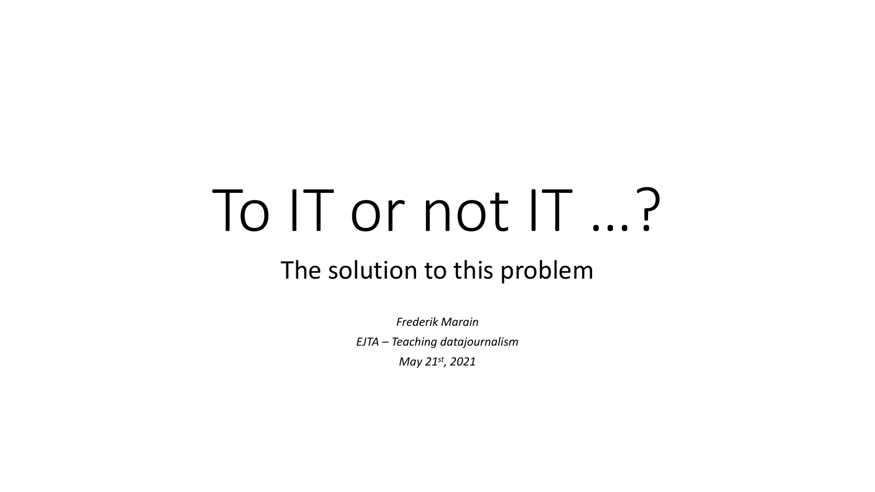## To IT or not IT …?

#### The solution to this problem

*Frederik Marain*

*EJTA – Teaching datajournalism*

*May 21st, 2021*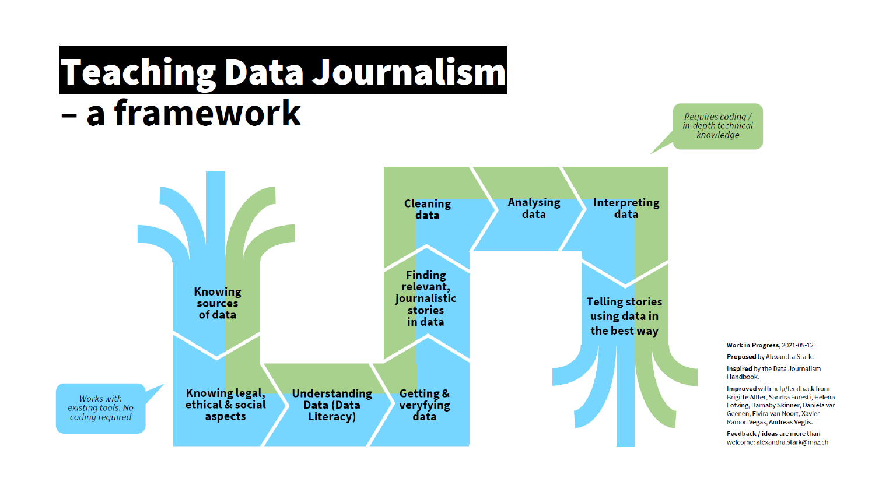#### Teaching Data Journalism - a framework

Requires coding / in-depth technical knowledge



Work in Progress, 2021-05-12

Proposed by Alexandra Stark.

Inspired by the Data Journalism Handbook.

Improved with help/feedback from Brigitte Alfter, Sandra Foresti, Helena Löfving, Barnaby Skinner, Daniela van Geenen, Elvira van Noort, Xavier Ramon Vegas, Andreas Veglis.

Feedback / ideas are more than welcome: alexandra.stark@maz.ch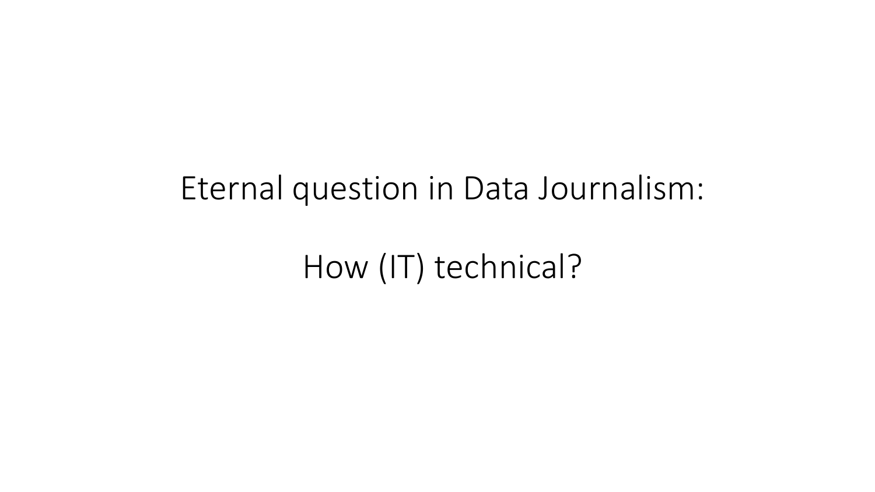#### Eternal question in Data Journalism:

How (IT) technical?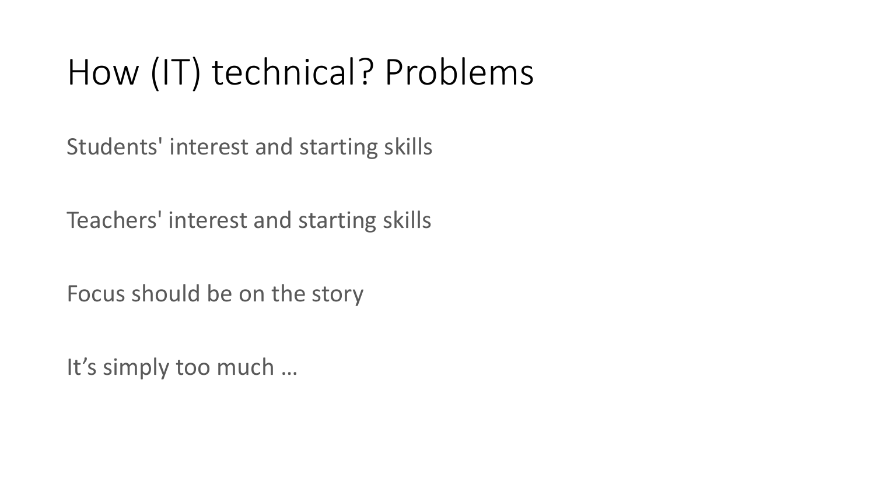### How (IT) technical? Problems

Students' interest and starting skills

Teachers' interest and starting skills

Focus should be on the story

It's simply too much …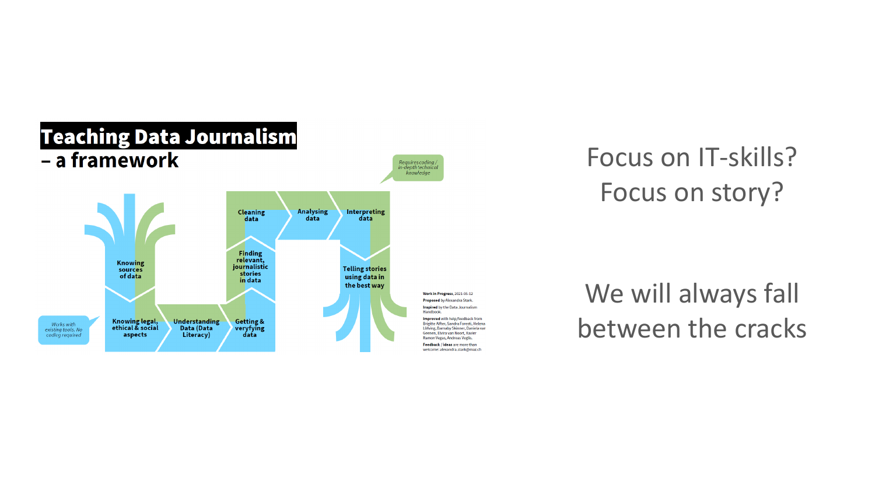

#### Focus on IT-skills? Focus on story?

We will always fall between the cracks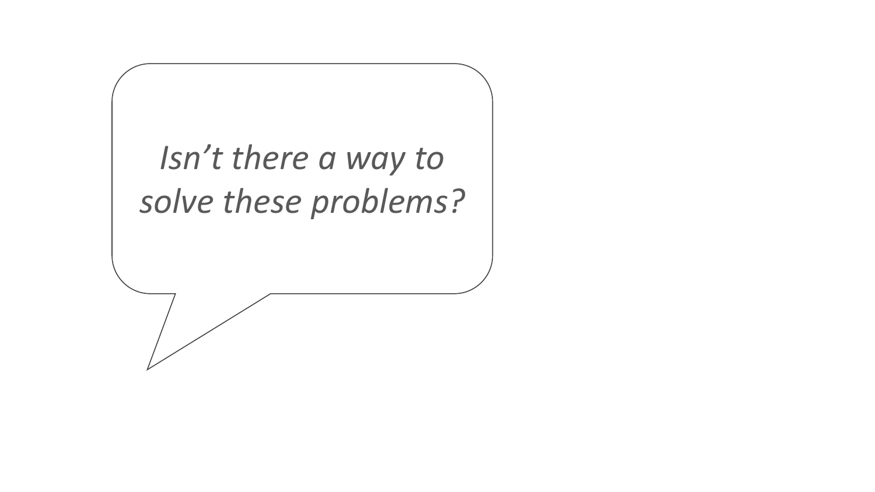*Isn't there a way to solve these problems?*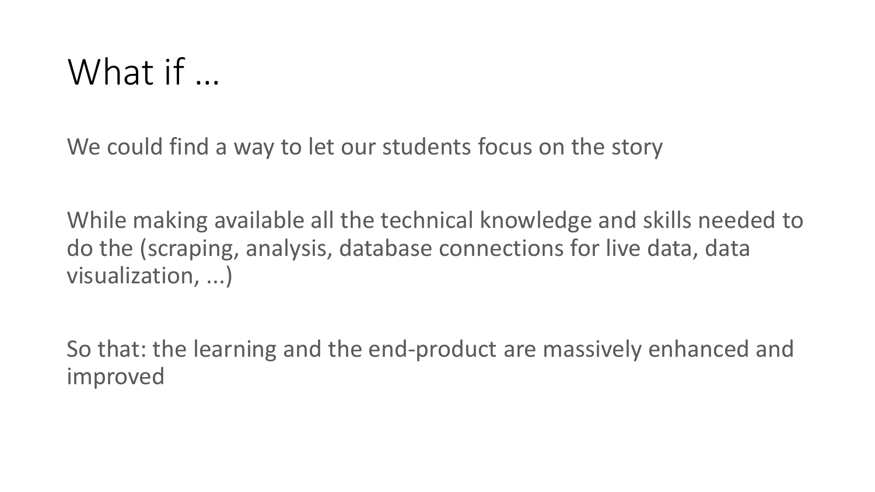#### What if …

We could find a way to let our students focus on the story

While making available all the technical knowledge and skills needed to do the (scraping, analysis, database connections for live data, data visualization, ...)

So that: the learning and the end-product are massively enhanced and improved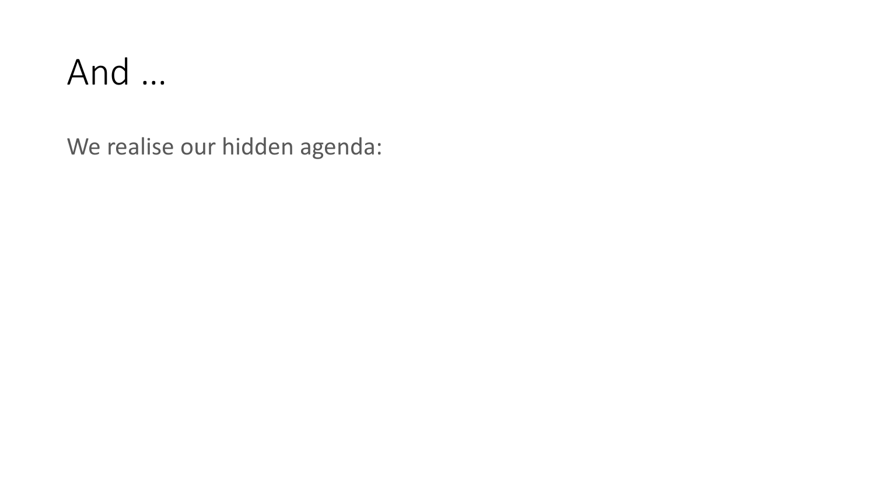#### And ...

We realise our hidden agenda: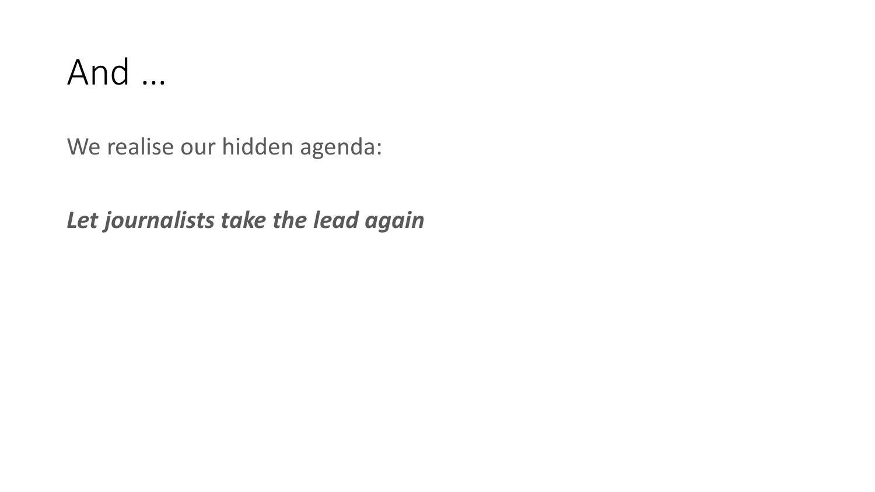#### And …

We realise our hidden agenda:

*Let journalists take the lead again*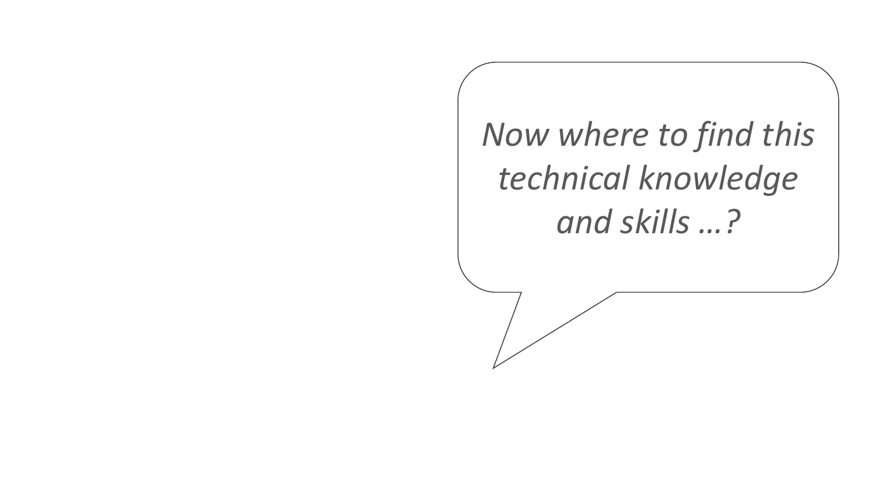*Now where to find this technical knowledge and skills …?*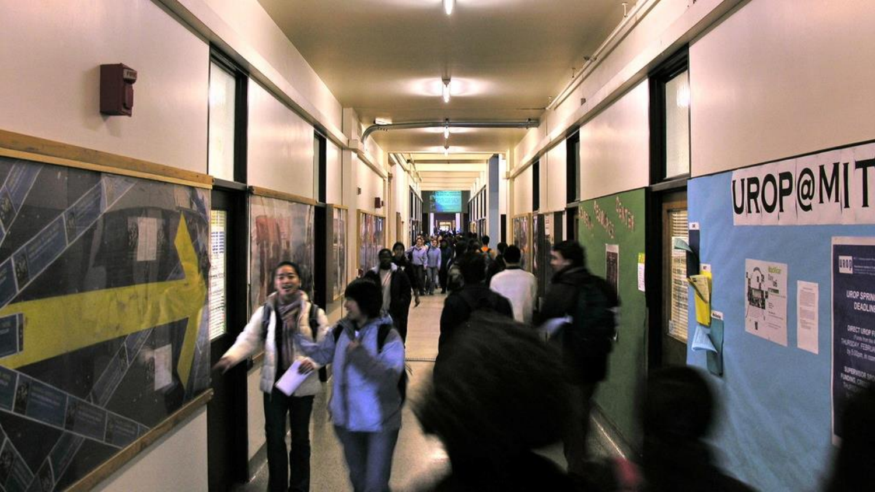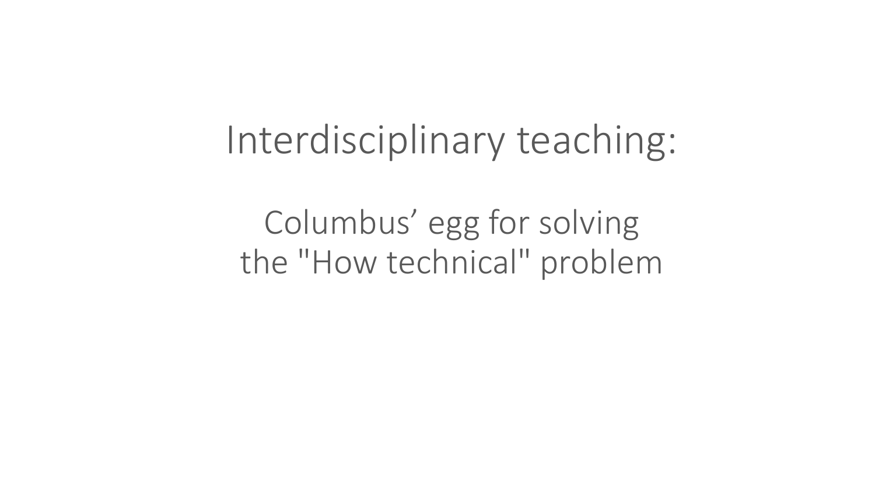## Interdisciplinary teaching:

Columbus' egg for solving the "How technical" problem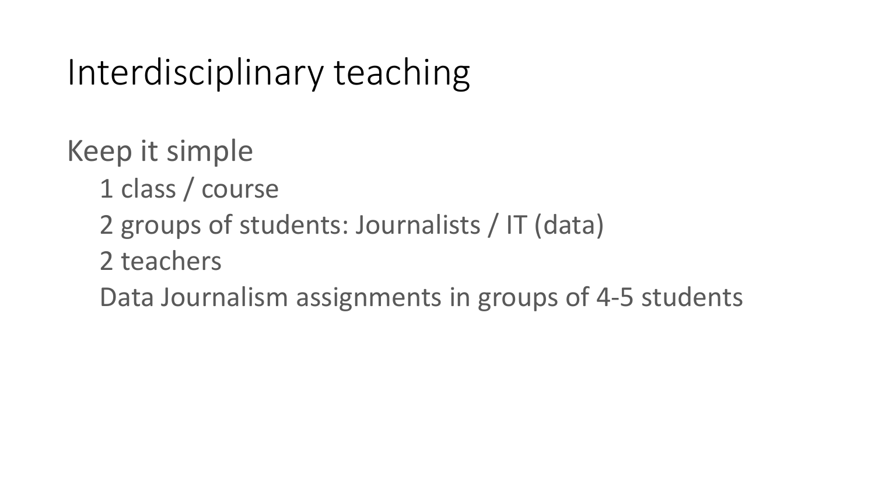#### Interdisciplinary teaching

Keep it simple

- 1 class / course
- 2 groups of students: Journalists / IT (data)
- 2 teachers

Data Journalism assignments in groups of 4-5 students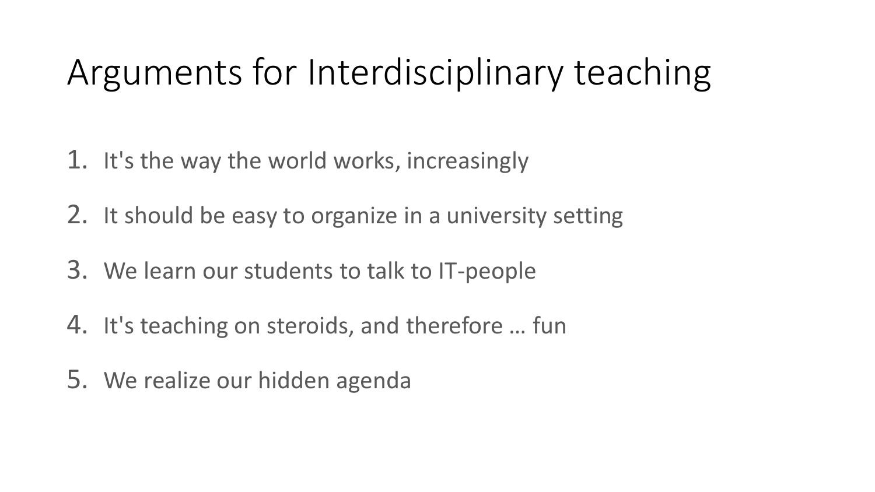## Arguments for Interdisciplinary teaching

- 1. It's the way the world works, increasingly
- 2. It should be easy to organize in a university setting
- 3. We learn our students to talk to IT-people
- 4. It's teaching on steroids, and therefore … fun
- 5. We realize our hidden agenda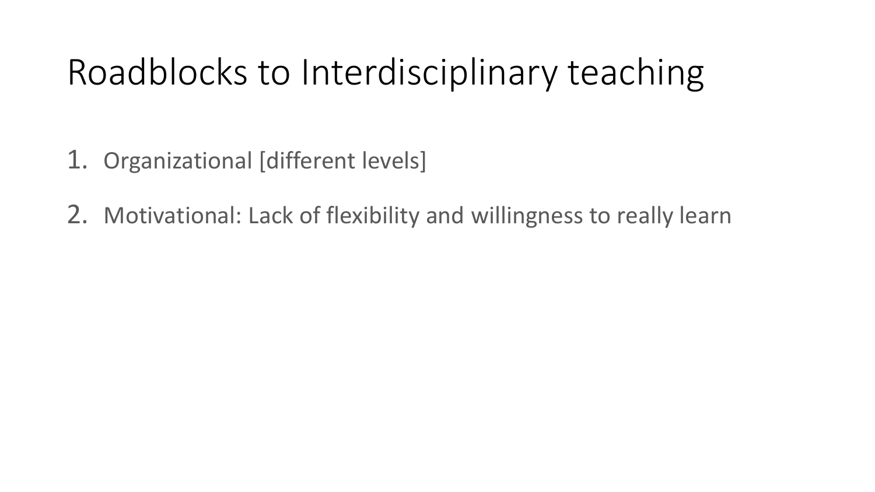### Roadblocks to Interdisciplinary teaching

- 1. Organizational [different levels]
- 2. Motivational: Lack of flexibility and willingness to really learn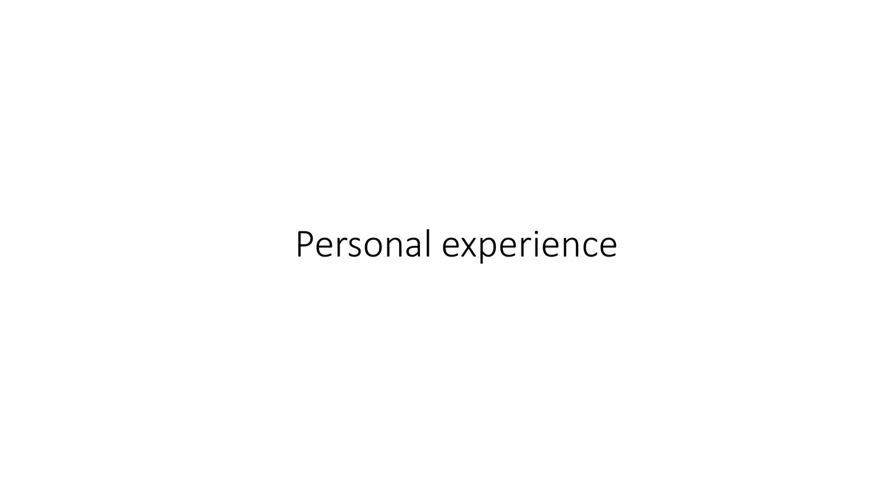### Personal experience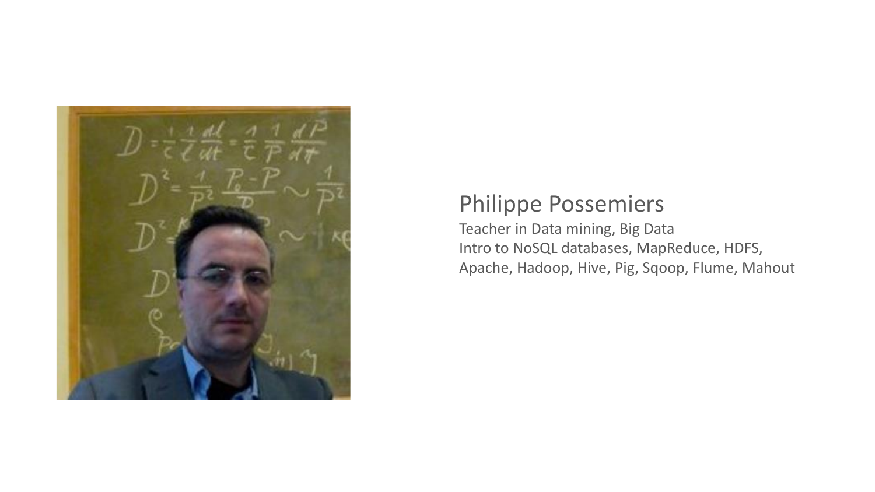

#### Philippe Possemiers

Teacher in Data mining, Big Data Intro to NoSQL databases, MapReduce, HDFS, Apache, Hadoop, Hive, Pig, Sqoop, Flume, Mahout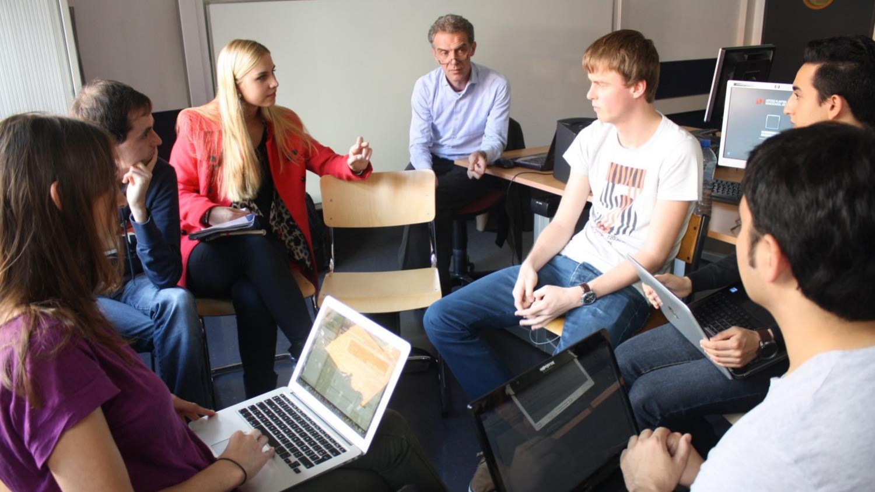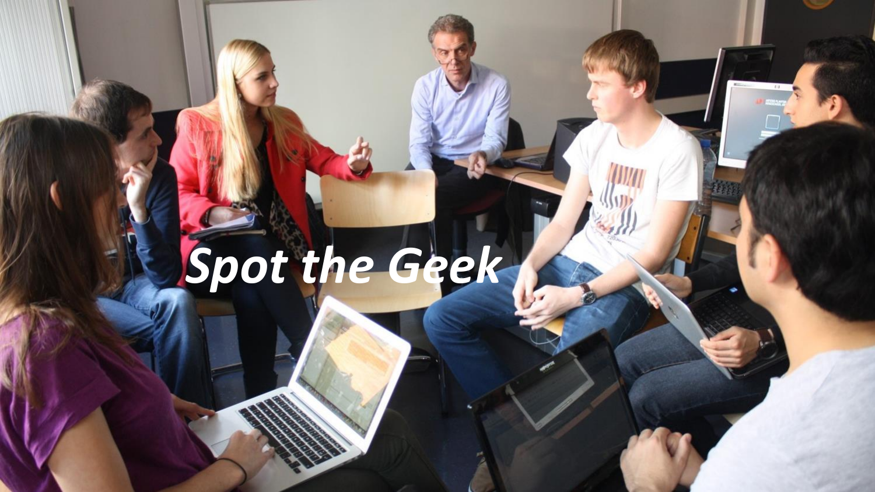# *Spot the Geek*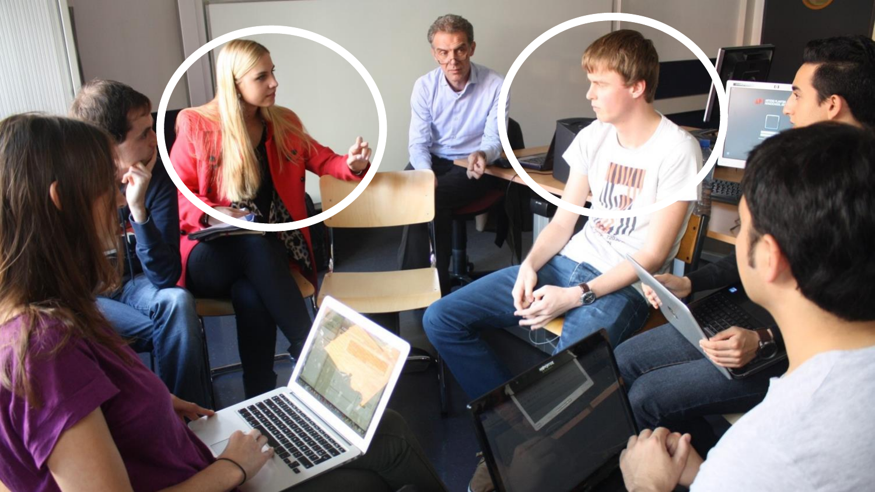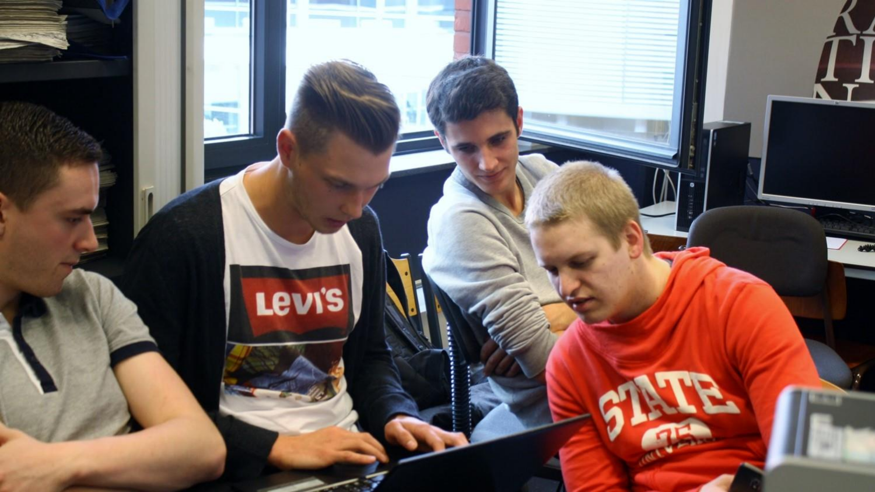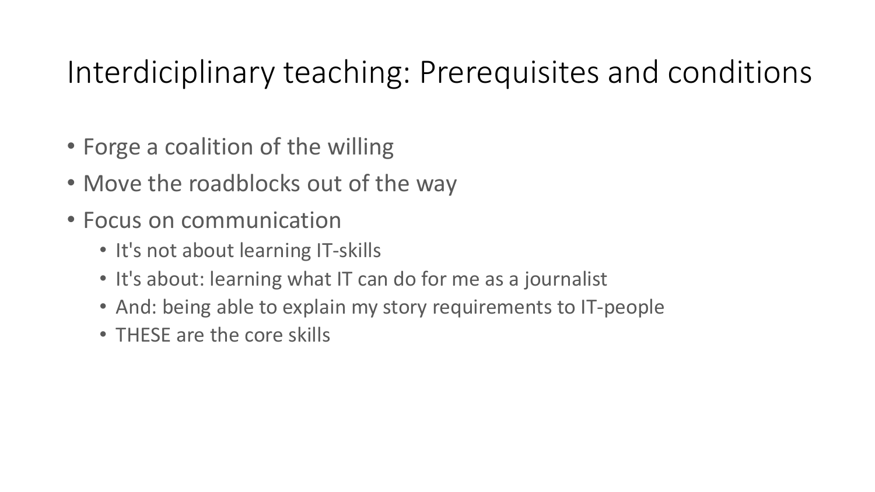#### Interdiciplinary teaching: Prerequisites and conditions

- Forge a coalition of the willing
- Move the roadblocks out of the way
- Focus on communication
	- It's not about learning IT-skills
	- It's about: learning what IT can do for me as a journalist
	- And: being able to explain my story requirements to IT-people
	- THESE are the core skills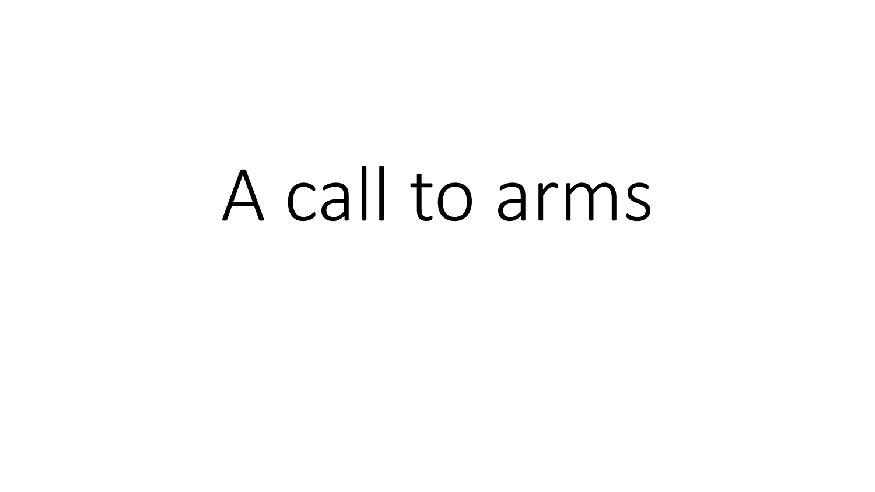## A call to arms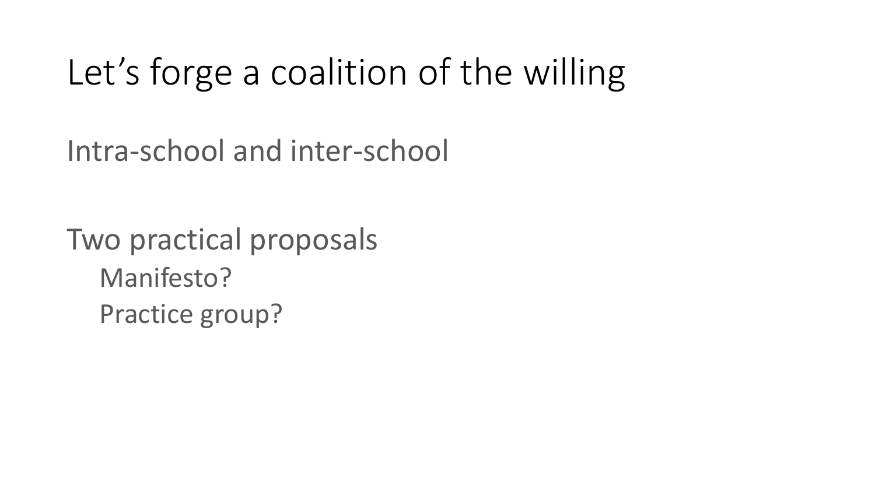## Let's forge a coalition of the willing

Intra-school and inter-school

Two practical proposals Manifesto? Practice group?